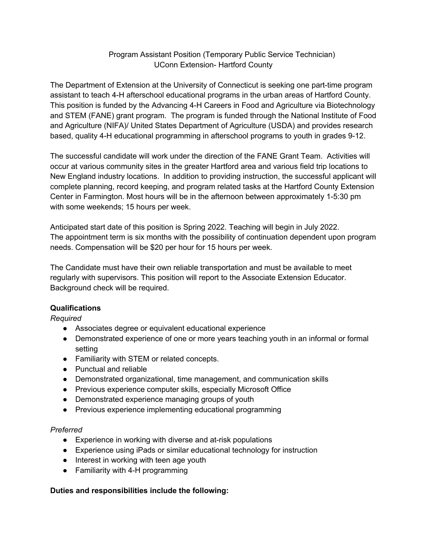## Program Assistant Position (Temporary Public Service Technician) UConn Extension- Hartford County

The Department of Extension at the University of Connecticut is seeking one part-time program assistant to teach 4-H afterschool educational programs in the urban areas of Hartford County. This position is funded by the Advancing 4-H Careers in Food and Agriculture via Biotechnology and STEM (FANE) grant program. The program is funded through the National Institute of Food and Agriculture (NIFA)/ United States Department of Agriculture (USDA) and provides research based, quality 4-H educational programming in afterschool programs to youth in grades 9-12.

The successful candidate will work under the direction of the FANE Grant Team. Activities will occur at various community sites in the greater Hartford area and various field trip locations to New England industry locations. In addition to providing instruction, the successful applicant will complete planning, record keeping, and program related tasks at the Hartford County Extension Center in Farmington. Most hours will be in the afternoon between approximately 1-5:30 pm with some weekends; 15 hours per week.

Anticipated start date of this position is Spring 2022. Teaching will begin in July 2022. The appointment term is six months with the possibility of continuation dependent upon program needs. Compensation will be \$20 per hour for 15 hours per week.

The Candidate must have their own reliable transportation and must be available to meet regularly with supervisors. This position will report to the Associate Extension Educator. Background check will be required.

## **Qualifications**

*Required*

- Associates degree or equivalent educational experience
- Demonstrated experience of one or more years teaching youth in an informal or formal setting
- Familiarity with STEM or related concepts.
- Punctual and reliable
- Demonstrated organizational, time management, and communication skills
- Previous experience computer skills, especially Microsoft Office
- Demonstrated experience managing groups of youth
- Previous experience implementing educational programming

## *Preferred*

- Experience in working with diverse and at-risk populations
- Experience using iPads or similar educational technology for instruction
- Interest in working with teen age youth
- Familiarity with 4-H programming

## **Duties and responsibilities include the following:**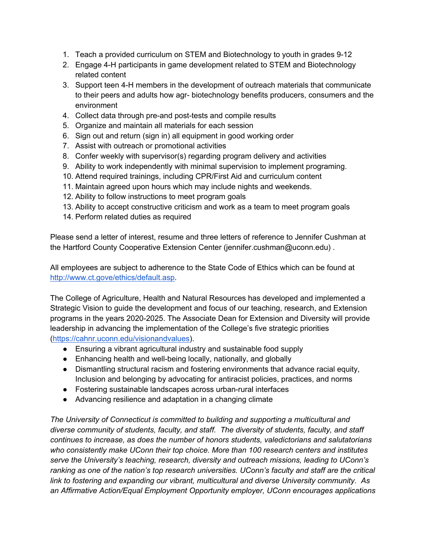- 1. Teach a provided curriculum on STEM and Biotechnology to youth in grades 9-12
- 2. Engage 4-H participants in game development related to STEM and Biotechnology related content
- 3. Support teen 4-H members in the development of outreach materials that communicate to their peers and adults how agr- biotechnology benefits producers, consumers and the environment
- 4. Collect data through pre-and post-tests and compile results
- 5. Organize and maintain all materials for each session
- 6. Sign out and return (sign in) all equipment in good working order
- 7. Assist with outreach or promotional activities
- 8. Confer weekly with supervisor(s) regarding program delivery and activities
- 9. Ability to work independently with minimal supervision to implement programing.
- 10. Attend required trainings, including CPR/First Aid and curriculum content
- 11. Maintain agreed upon hours which may include nights and weekends.
- 12. Ability to follow instructions to meet program goals
- 13. Ability to accept constructive criticism and work as a team to meet program goals
- 14. Perform related duties as required

Please send a letter of interest, resume and three letters of reference to Jennifer Cushman at the Hartford County Cooperative Extension Center (jennifer.cushman@uconn.edu) .

All employees are subject to adherence to the State Code of Ethics which can be found at http://www.ct.gove/ethics/default.asp.

The College of Agriculture, Health and Natural Resources has developed and implemented a Strategic Vision to guide the development and focus of our teaching, research, and Extension programs in the years 2020-2025. The Associate Dean for Extension and Diversity will provide leadership in advancing the implementation of the College's five strategic priorities (https://cahnr.uconn.edu/visionandvalues).

● Ensuring a vibrant agricultural industry and sustainable food supply

- Enhancing health and well-being locally, nationally, and globally
- Dismantling structural racism and fostering environments that advance racial equity, Inclusion and belonging by advocating for antiracist policies, practices, and norms
- Fostering sustainable landscapes across urban-rural interfaces
- Advancing resilience and adaptation in a changing climate

*The University of Connecticut is committed to building and supporting a multicultural and diverse community of students, faculty, and staff. The diversity of students, faculty, and staff continues to increase, as does the number of honors students, valedictorians and salutatorians who consistently make UConn their top choice. More than 100 research centers and institutes serve the University's teaching, research, diversity and outreach missions, leading to UConn's ranking as one of the nation's top research universities. UConn's faculty and staff are the critical link to fostering and expanding our vibrant, multicultural and diverse University community. As an Affirmative Action/Equal Employment Opportunity employer, UConn encourages applications*